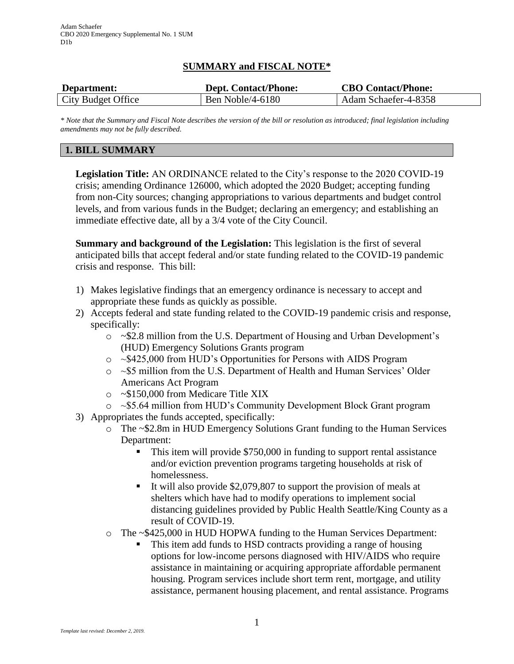## **SUMMARY and FISCAL NOTE\***

| Department:        | <b>Dept. Contact/Phone:</b> | <b>CBO Contact/Phone:</b> |
|--------------------|-----------------------------|---------------------------|
| City Budget Office | Ben Noble/4-6180            | Adam Schaefer-4-8358      |

*\* Note that the Summary and Fiscal Note describes the version of the bill or resolution as introduced; final legislation including amendments may not be fully described.*

## **1. BILL SUMMARY**

**Legislation Title:** AN ORDINANCE related to the City's response to the 2020 COVID-19 crisis; amending Ordinance 126000, which adopted the 2020 Budget; accepting funding from non-City sources; changing appropriations to various departments and budget control levels, and from various funds in the Budget; declaring an emergency; and establishing an immediate effective date, all by a 3/4 vote of the City Council.

**Summary and background of the Legislation:** This legislation is the first of several anticipated bills that accept federal and/or state funding related to the COVID-19 pandemic crisis and response. This bill:

- 1) Makes legislative findings that an emergency ordinance is necessary to accept and appropriate these funds as quickly as possible.
- 2) Accepts federal and state funding related to the COVID-19 pandemic crisis and response, specifically:
	- o ~\$2.8 million from the U.S. Department of Housing and Urban Development's (HUD) Emergency Solutions Grants program
	- o ~\$425,000 from HUD's Opportunities for Persons with AIDS Program
	- o ~\$5 million from the U.S. Department of Health and Human Services' Older Americans Act Program
	- o ~\$150,000 from Medicare Title XIX
	- o ~\$5.64 million from HUD's Community Development Block Grant program
- 3) Appropriates the funds accepted, specifically:
	- o The ~\$2.8m in HUD Emergency Solutions Grant funding to the Human Services Department:
		- This item will provide \$750,000 in funding to support rental assistance and/or eviction prevention programs targeting households at risk of homelessness.
		- It will also provide \$2,079,807 to support the provision of meals at shelters which have had to modify operations to implement social distancing guidelines provided by Public Health Seattle/King County as a result of COVID-19.
	- o The ~\$425,000 in HUD HOPWA funding to the Human Services Department:
		- This item add funds to HSD contracts providing a range of housing options for low-income persons diagnosed with HIV/AIDS who require assistance in maintaining or acquiring appropriate affordable permanent housing. Program services include short term rent, mortgage, and utility assistance, permanent housing placement, and rental assistance. Programs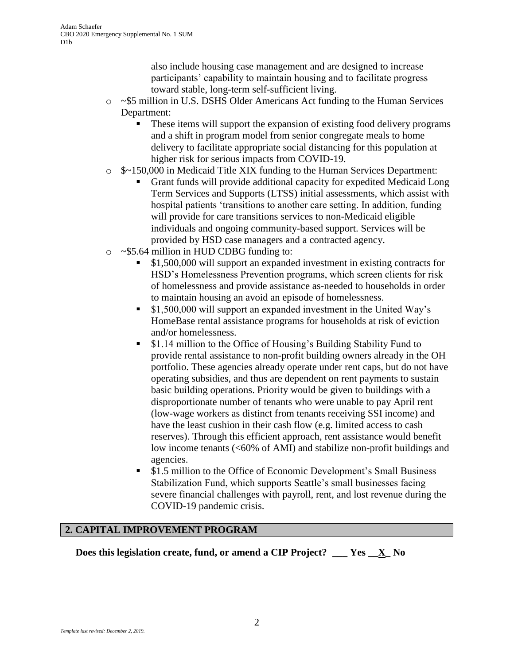also include housing case management and are designed to increase participants' capability to maintain housing and to facilitate progress toward stable, long-term self-sufficient living.

- o ~\$5 million in U.S. DSHS Older Americans Act funding to the Human Services Department:
	- These items will support the expansion of existing food delivery programs and a shift in program model from senior congregate meals to home delivery to facilitate appropriate social distancing for this population at higher risk for serious impacts from COVID-19.
- o \$~150,000 in Medicaid Title XIX funding to the Human Services Department:
	- Grant funds will provide additional capacity for expedited Medicaid Long Term Services and Supports (LTSS) initial assessments, which assist with hospital patients 'transitions to another care setting. In addition, funding will provide for care transitions services to non-Medicaid eligible individuals and ongoing community-based support. Services will be provided by HSD case managers and a contracted agency.
- o ~\$5.64 million in HUD CDBG funding to:
	- \$1,500,000 will support an expanded investment in existing contracts for HSD's Homelessness Prevention programs, which screen clients for risk of homelessness and provide assistance as-needed to households in order to maintain housing an avoid an episode of homelessness.
	- \$1,500,000 will support an expanded investment in the United Way's HomeBase rental assistance programs for households at risk of eviction and/or homelessness.
	- \$1.14 million to the Office of Housing's Building Stability Fund to provide rental assistance to non-profit building owners already in the OH portfolio. These agencies already operate under rent caps, but do not have operating subsidies, and thus are dependent on rent payments to sustain basic building operations. Priority would be given to buildings with a disproportionate number of tenants who were unable to pay April rent (low-wage workers as distinct from tenants receiving SSI income) and have the least cushion in their cash flow (e.g. limited access to cash reserves). Through this efficient approach, rent assistance would benefit low income tenants (<60% of AMI) and stabilize non-profit buildings and agencies.
	- \$1.5 million to the Office of Economic Development's Small Business Stabilization Fund, which supports Seattle's small businesses facing severe financial challenges with payroll, rent, and lost revenue during the COVID-19 pandemic crisis.

#### **2. CAPITAL IMPROVEMENT PROGRAM**

**Does this legislation create, fund, or amend a CIP Project? \_\_\_ Yes \_\_X\_ No**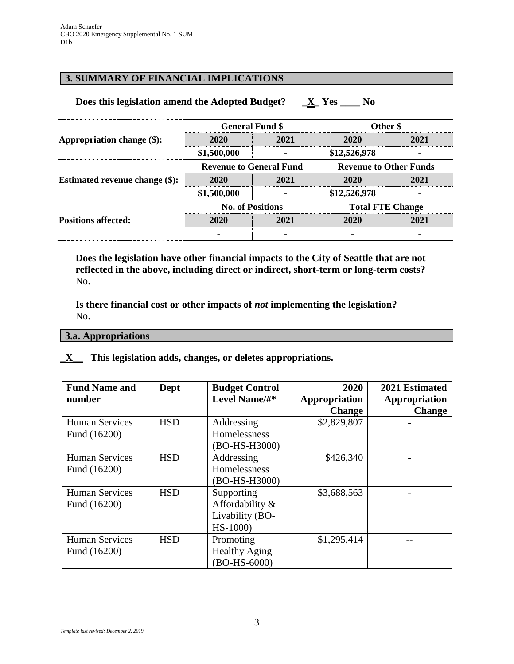## **3. SUMMARY OF FINANCIAL IMPLICATIONS**

### **Does this legislation amend the Adopted Budget? \_X\_ Yes \_\_\_\_ No**

| Appropriation change $(\$)$ :         | <b>General Fund \$</b>         |      | Other \$                      |      |
|---------------------------------------|--------------------------------|------|-------------------------------|------|
|                                       | 2020                           | 2021 | 2020                          | 2021 |
|                                       | \$1,500,000                    |      | \$12,526,978                  |      |
| <b>Estimated revenue change (\$):</b> | <b>Revenue to General Fund</b> |      | <b>Revenue to Other Funds</b> |      |
|                                       | 2020                           | 2021 | 2020                          | 2021 |
|                                       | \$1,500,000                    |      | \$12,526,978                  |      |
| <b>Positions affected:</b>            | <b>No. of Positions</b>        |      | <b>Total FTE Change</b>       |      |
|                                       | 2020                           | 2021 | 2020                          | 2021 |
|                                       |                                |      |                               |      |

**Does the legislation have other financial impacts to the City of Seattle that are not reflected in the above, including direct or indirect, short-term or long-term costs?** No.

**Is there financial cost or other impacts of** *not* **implementing the legislation?** No.

#### **3.a. Appropriations**

### **\_X\_\_ This legislation adds, changes, or deletes appropriations.**

| <b>Fund Name and</b><br>number | Dept       | <b>Budget Control</b><br>Level Name/#* | 2020<br>Appropriation | 2021 Estimated<br>Appropriation |
|--------------------------------|------------|----------------------------------------|-----------------------|---------------------------------|
|                                |            |                                        | <b>Change</b>         | <b>Change</b>                   |
| <b>Human Services</b>          | <b>HSD</b> | Addressing                             | \$2,829,807           |                                 |
| Fund (16200)                   |            | Homelessness                           |                       |                                 |
|                                |            | (BO-HS-H3000)                          |                       |                                 |
| <b>Human Services</b>          | <b>HSD</b> | Addressing                             | \$426,340             |                                 |
| Fund (16200)                   |            | Homelessness                           |                       |                                 |
|                                |            | (BO-HS-H3000)                          |                       |                                 |
| <b>Human Services</b>          | <b>HSD</b> | Supporting                             | \$3,688,563           |                                 |
| Fund (16200)                   |            | Affordability &                        |                       |                                 |
|                                |            | Livability (BO-                        |                       |                                 |
|                                |            | $HS-1000$                              |                       |                                 |
| <b>Human Services</b>          | <b>HSD</b> | Promoting                              | \$1,295,414           |                                 |
| Fund (16200)                   |            | <b>Healthy Aging</b>                   |                       |                                 |
|                                |            | (BO-HS-6000)                           |                       |                                 |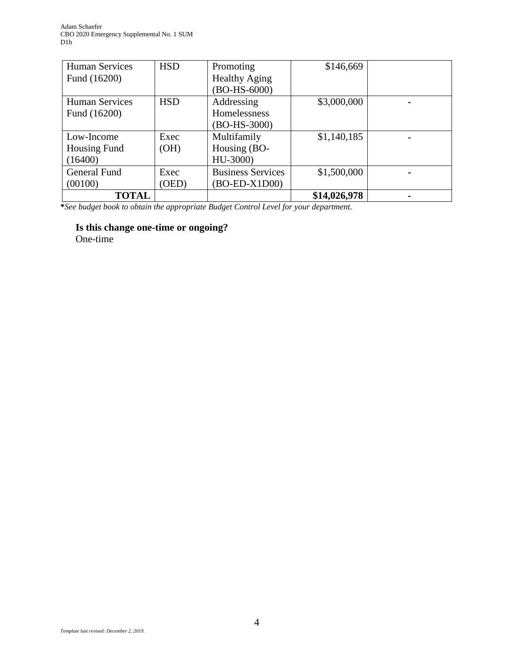| <b>Human Services</b> | <b>HSD</b> | Promoting                | \$146,669    |  |
|-----------------------|------------|--------------------------|--------------|--|
| Fund (16200)          |            | <b>Healthy Aging</b>     |              |  |
|                       |            | (BO-HS-6000)             |              |  |
| <b>Human Services</b> | <b>HSD</b> | Addressing               | \$3,000,000  |  |
| Fund (16200)          |            | Homelessness             |              |  |
|                       |            | (BO-HS-3000)             |              |  |
| Low-Income            | Exec       | Multifamily              | \$1,140,185  |  |
| Housing Fund          | (OH)       | Housing (BO-             |              |  |
| (16400)               |            | HU-3000)                 |              |  |
| <b>General Fund</b>   | Exec       | <b>Business Services</b> | \$1,500,000  |  |
| (00100)               | (OED)      | (BO-ED-X1D00)            |              |  |
| <b>TOTAL</b>          |            |                          | \$14,026,978 |  |

**\****See budget book to obtain the appropriate Budget Control Level for your department.*

**Is this change one-time or ongoing?**

One-time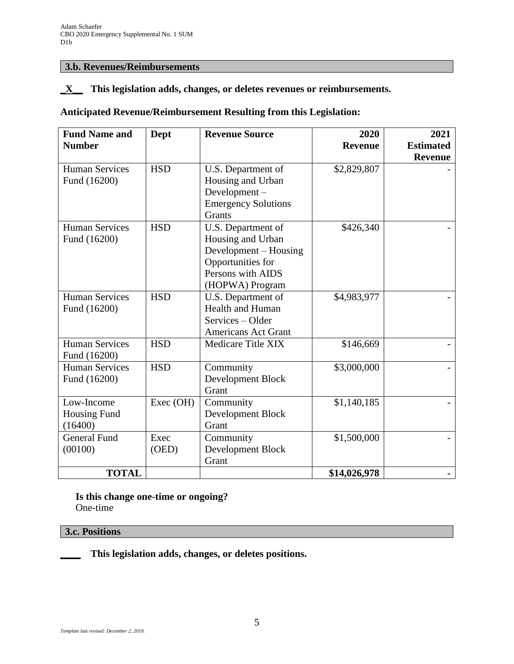## **3.b. Revenues/Reimbursements**

### **\_X\_\_ This legislation adds, changes, or deletes revenues or reimbursements.**

# **Anticipated Revenue/Reimbursement Resulting from this Legislation:**

| <b>Fund Name and</b><br><b>Number</b> | Dept          | <b>Revenue Source</b>                                                                                                         | 2020<br><b>Revenue</b> | 2021<br><b>Estimated</b><br><b>Revenue</b> |
|---------------------------------------|---------------|-------------------------------------------------------------------------------------------------------------------------------|------------------------|--------------------------------------------|
| <b>Human Services</b><br>Fund (16200) | <b>HSD</b>    | U.S. Department of<br>Housing and Urban<br>Development-<br><b>Emergency Solutions</b><br>Grants                               | \$2,829,807            |                                            |
| <b>Human Services</b><br>Fund (16200) | <b>HSD</b>    | U.S. Department of<br>Housing and Urban<br>Development – Housing<br>Opportunities for<br>Persons with AIDS<br>(HOPWA) Program | \$426,340              |                                            |
| <b>Human Services</b><br>Fund (16200) | <b>HSD</b>    | U.S. Department of<br>Health and Human<br>Services – Older<br><b>Americans Act Grant</b>                                      | \$4,983,977            |                                            |
| <b>Human Services</b><br>Fund (16200) | <b>HSD</b>    | Medicare Title XIX                                                                                                            | \$146,669              |                                            |
| <b>Human Services</b><br>Fund (16200) | <b>HSD</b>    | Community<br>Development Block<br>Grant                                                                                       | \$3,000,000            |                                            |
| Low-Income<br>Housing Fund<br>(16400) | Exec (OH)     | Community<br>Development Block<br>Grant                                                                                       | \$1,140,185            |                                            |
| <b>General Fund</b><br>(00100)        | Exec<br>(OED) | Community<br>Development Block<br>Grant                                                                                       | \$1,500,000            |                                            |
| <b>TOTAL</b>                          |               |                                                                                                                               | \$14,026,978           |                                            |

**Is this change one-time or ongoing?** One-time

### **3.c. Positions**

**\_\_\_\_ This legislation adds, changes, or deletes positions.**